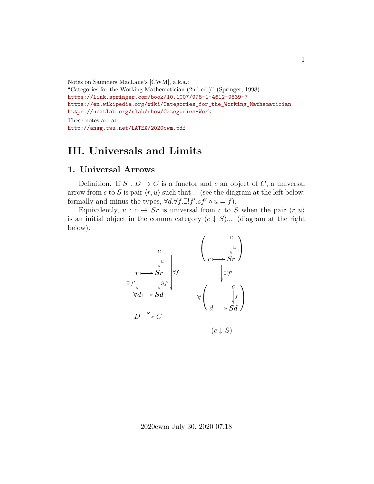```
Notes on Saunders MacLane's [CWM], a.k.a.:
"Categories for the Working Mathematician (2nd ed.)" (Springer, 1998)
https://link.springer.com/book/10.1007/978-1-4612-9839-7
https://en.wikipedia.org/wiki/Categories_for_the_Working_Mathematician
https://ncatlab.org/nlab/show/Categories+Work
These notes are at:
http://angg.twu.net/LATEX/2020cwm.pdf
```
## **III. Universals and Limits**

#### **1. Universal Arrows**

Definition. If  $S: D \to C$  is a functor and c an object of C, a universal arrow from c to S is pair  $\langle r, u \rangle$  such that... (see the diagram at the left below; formally and minus the types,  $\forall d.\forall f.\exists! f'.sf' \circ u = f$ .

Equivalently,  $u : c \to Sr$  is universal from c to S when the pair  $\langle r, u \rangle$ is an initial object in the comma category  $(c \downarrow S)$ ... (diagram at the right below).

$$
\begin{array}{ccc}\n & c & \begin{pmatrix} c \\ \downarrow u \\ r & \downarrow v \end{pmatrix} \\
r \longmapsto Sr & \downarrow yf \\
\forall d \longmapsto Sd & \forall \begin{pmatrix} c \\ \downarrow u \\ r \longmapsto Sr \end{pmatrix} \\
D \xrightarrow{S} C & (c \downarrow S)\n\end{array}
$$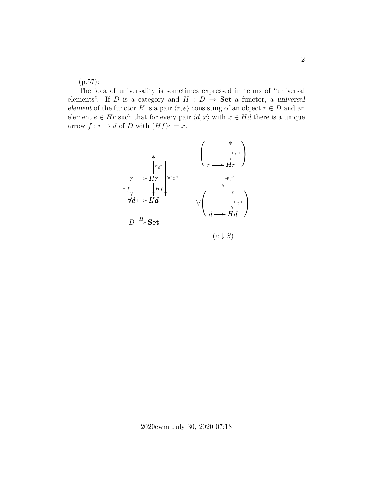(p.57):

The idea of universality is sometimes expressed in terms of "universal elements". If D is a category and  $H : D \to \mathbf{Set}$  a functor, a universal element of the functor H is a pair  $\langle r, e \rangle$  consisting of an object  $r \in D$  and an element  $e \in Hr$  such that for every pair  $\langle d, x \rangle$  with  $x \in Hd$  there is a unique arrow  $f : r \to d$  of D with  $(Hf)e = x$ .

$$
\begin{array}{ccc}\n & \ast & \left( \begin{array}{c} \ast \\ \uparrow e^{-} \\ \ast \\ Hr \end{array} \right) \\
r \longmapsto Hr \\
\forall d \longmapsto Hd\n\end{array}\n\end{array}\n\qquad\n\begin{array}{ccc}\n & \ast & \left( \begin{array}{c} \ast \\ \downarrow e^{-} \\ \ast \\ Hr \end{array} \right) \\
\downarrow \exists !f' \\
\forall d \longmapsto Hd\n\end{array}\n\qquad\n\begin{array}{ccc}\n & \ast & \ast \\ \downarrow \exists !f' \\
 & \downarrow \exists !f' \\
 & \downarrow \left( \begin{array}{c} \ast \\ \downarrow \uparrow x^{-} \\ \ast \\ d \longmapsto Hd \end{array} \right)\n\end{array}
$$

 $(c \downarrow S)$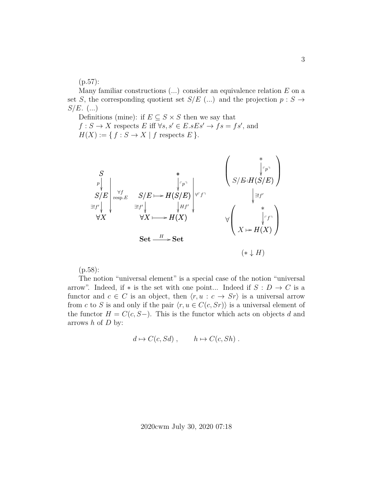(p.57):

Many familiar constructions  $(...)$  consider an equivalence relation  $E$  on a set S, the corresponding quotient set  $S/E$  (...) and the projection  $p : S \rightarrow$  $S/E.$  (...)

Definitions (mine): if  $E \subseteq S \times S$  then we say that  $f : S \to X$  respects E iff  $\forall s, s' \in E \in S$ .  $\Rightarrow$   $fs = fs'$ , and  $H(X) := \{ f : S \to X \mid f \text{ respects } E \}.$ 

$$
\begin{array}{c}\nS \\
\downarrow^{P} \\
S/E \\
\downarrow^{eff} \\
\forall X\n\end{array}\n\begin{array}{c}\n\star^{F} \\
\downarrow^{Fp}\n\end{array}\n\begin{array}{c}\n\star^{F} \\
\downarrow^{Fp}\n\end{array}\n\begin{array}{c}\n\downarrow^{Fp}\n\downarrow^{Fp}\n\end{array}\n\begin{array}{c}\n\downarrow^{Fp}\n\downarrow^{Fp}\n\end{array}\n\begin{array}{c}\n\downarrow^{Fp}\n\downarrow^{Fp}\n\downarrow^{Hf'}\n\downarrow^{Hf'}\n\downarrow^{Hf'}\n\downarrow^{Hf'}\n\downarrow^{Hf'}\n\downarrow^{Hf'}\n\downarrow^{Hf'}\n\downarrow^{Hf'}\n\downarrow^{Hf'}\n\downarrow^{Hf'}\n\downarrow^{Hf'}\n\downarrow^{Hf'}\n\downarrow^{Hf'}\n\downarrow^{Hf'}\n\downarrow^{Hf'}\n\downarrow^{Hf'}\n\downarrow^{Hf'}\n\downarrow^{Hf'}\n\downarrow^{Hf'}\n\downarrow^{Hf'}\n\downarrow^{Hf'}\n\downarrow^{Hf'}\n\downarrow^{Hf'}\n\downarrow^{Hf'}\n\downarrow^{Hf'}\n\downarrow^{Hf'}\n\downarrow^{Hf'}\n\downarrow^{Hf'}\n\downarrow^{Hf'}\n\downarrow^{Hf'}\n\downarrow^{Hf'}\n\downarrow^{Hf'}\n\downarrow^{Hf'}\n\downarrow^{Hf'}\n\downarrow^{Hf'}\n\downarrow^{Hf'}\n\downarrow^{Hf'}\n\downarrow^{Hf'}\n\downarrow^{Hf'}\n\downarrow^{Hf'}\n\downarrow^{Hf'}\n\downarrow^{Hf'}\n\downarrow^{Hf'}\n\downarrow^{Hf'}\n\downarrow^{Hf'}\n\downarrow^{Hf'}\n\downarrow^{Hf'}\n\downarrow^{Hf'}\n\downarrow^{Hf'}\n\downarrow^{Hf'}\n\downarrow^{Hf'}\n\downarrow^{Hf'}\n\downarrow^{Hf'}\n\downarrow^{Hf'}\n\downarrow^{Hf'}\n\downarrow^{Hf'}\n\downarrow^{Hf'}\n\downarrow^{Hf'}\n\downarrow^{Hf'}\n\downarrow^{Hf'}\n\downarrow^{Hf'}\n\downarrow^{Hf'}\n\downarrow^{Hf'}\n\downarrow^{Hf'}\n\downarrow^{Hf'}
$$

(p.58):

The notion "universal element" is a special case of the notion "universal arrow". Indeed, if \* is the set with one point... Indeed if  $S: D \to C$  is a functor and  $c \in C$  is an object, then  $\langle r, u : c \to Sr \rangle$  is a universal arrow from c to S is and only if the pair  $\langle r, u \in C(c, Sr) \rangle$  is a universal element of the functor  $H = C(c, S-)$ . This is the functor which acts on objects d and arrows  $h$  of  $D$  by:

$$
d \mapsto C(c, Sd) , \qquad h \mapsto C(c, Sh) .
$$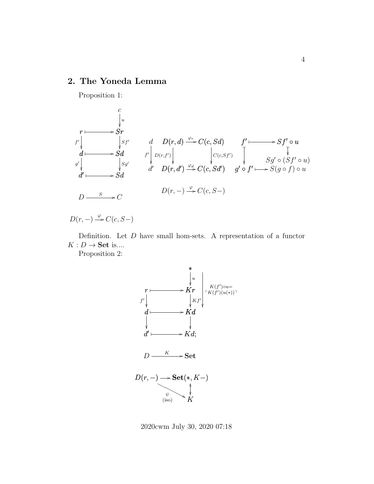#### **2. The Yoneda Lemma**

Proposition 1:

$$
\begin{array}{ccc}\n & c & \downarrow u \\
 & \downarrow u & \\
f' & \downarrow g' & \\
d \longmapsto Sd & f' & \downarrow v(r,f') \\
g' & \downarrow g' & \\
d' & \downarrow g' & \\
d' & \downarrow g' & \\
d' & \downarrow g' & \\
f' & \downarrow g' & \\
d' & D(r,d') & \stackrel{\varphi_d}{\Rightarrow} C(c, Sd') & \\
f' & \downarrow g' & \\
f' & \downarrow g' & \\
f' & \downarrow g' & \\
f' & \downarrow g' & \\
f' & \downarrow g' & \\
f' & \downarrow g' & \\
f' & \downarrow g' & \\
f' & \downarrow g' & \\
f' & \downarrow g' & \\
f' & \downarrow g' & \\
f' & \downarrow g' & \\
f' & \downarrow g' & \\
f' & \downarrow g' & \\
f' & \downarrow g' & \\
f' & \downarrow g' & \\
f' & \downarrow g' & \\
f' & \downarrow g' & \\
f' & \downarrow g' & \\
f' & \downarrow g' & \\
f' & \downarrow g' & \\
f' & \downarrow g' & \\
f' & \downarrow g' & \\
f' & \downarrow g' & \\
f' & \downarrow g' & \\
f' & \downarrow g' & \\
f' & \downarrow g' & \\
f' & \downarrow g' & \\
f' & \downarrow g' & \\
f' & \downarrow g' & \\
f' & \downarrow g' & \\
f' & \downarrow g' & \\
f' & \downarrow g' & \\
f' & \downarrow g' & \\
f' & \downarrow g' & \\
f' & \downarrow g' & \\
f' & \downarrow g' & \\
f' & \downarrow g' & \\
f' & \downarrow g' & \\
f' & \downarrow g' & \\
f' & \downarrow g' & \\
f' & \downarrow g' & \\
f' & \downarrow g' & \\
f
$$

$$
D(r,-) \xrightarrow{\varphi} C(c, S-)
$$

Definition. Let  $D$  have small hom-sets. A representation of a functor  $K:D\to \mathbf{Set}$  is....

Proposition 2:



2020cwm July 30, 2020 07:18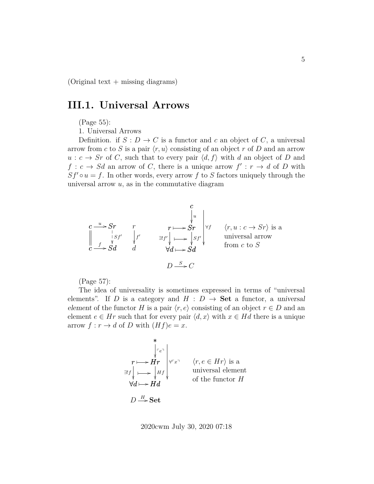$(Original text + missing diagrams)$ 

### **III.1. Universal Arrows**

(Page 55):

1. Universal Arrows

Definition. if  $S: D \to C$  is a functor and c an object of C, a universal arrow from c to S is a pair  $\langle r, u \rangle$  consisting of an object r of D and an arrow  $u : c \to Sr$  of C, such that to every pair  $\langle d, f \rangle$  with d an object of D and  $f: c \to Sd$  an arrow of C, there is a unique arrow  $f': r \to d$  of D with  $Sf' \circ u = f$ . In other words, every arrow f to S factors uniquely through the universal arrow  $u$ , as in the commutative diagram

$$
c \xrightarrow{u} Sr
$$
  
\n
$$
\begin{array}{ccc}\n & r & r \\
\downarrow s & f' & \downarrow t' \\
c \xrightarrow{f} Sd & d\n\end{array}
$$
  
\n
$$
r \xrightarrow{gr} Sr
$$
  
\n
$$
\begin{array}{ccc}\n & r \xrightarrow{r} & r \\
 \downarrow s & f' & \downarrow t' \\
 & \downarrow d & \downarrow d\n\end{array}
$$
  
\n
$$
r \xrightarrow{r} Sr
$$
  
\n
$$
\begin{array}{ccc}\n & r \xrightarrow{r} & r \\
 \downarrow s & f' & \downarrow t' \\
 & \downarrow s & f' & \downarrow t' \\
 & \downarrow d & \downarrow d\n\end{array}
$$
  
\n
$$
r \xrightarrow{r} Sr
$$
  
\n
$$
\begin{array}{ccc}\n & r \xrightarrow{r} & r \xrightarrow{r} & r \xrightarrow{r} & r \xrightarrow{r} & r \xrightarrow{r} & r \xrightarrow{r} & r \xrightarrow{r} & r \xrightarrow{r} & r \xrightarrow{r} & r \xrightarrow{r} & r \xrightarrow{r} & r \xrightarrow{r} & r \xrightarrow{r} & r \xrightarrow{r} & r \xrightarrow{r} & r \xrightarrow{r} & r \xrightarrow{r} & r \xrightarrow{r} & r \xrightarrow{r} & r \xrightarrow{r} & r \xrightarrow{r} & r \xrightarrow{r} & r \xrightarrow{r} & r \xrightarrow{r} & r \xrightarrow{r} & r \xrightarrow{r} & r \xrightarrow{r} & r \xrightarrow{r} & r \xrightarrow{r} & r \xrightarrow{r} & r \xrightarrow{r} & r \xrightarrow{r} & r \xrightarrow{r} & r \xrightarrow{r} & r \xrightarrow{r} & r \xrightarrow{r} & r \xrightarrow{r} & r \xrightarrow{r} & r \xrightarrow{r} & r \xrightarrow{r} & r \xrightarrow{r} & r \xrightarrow{r} & r \xrightarrow{r} & r \xrightarrow{r} & r \xrightarrow{r} & r \xrightarrow{r} & r \xrightarrow{r} & r \xrightarrow{r} & r \xrightarrow{r} & r \xrightarrow{r} & r \xrightarrow{r} & r \xrightarrow{r} & r \xrightarrow{r} & r \xrightarrow{r} & r \xrightarrow{r} & r \xrightarrow{r} & r \xrightarrow{r} & r \xrightarrow{r} & r \xrightarrow{r} & r \xrightarrow{r} & r \
$$

(Page 57):

The idea of universality is sometimes expressed in terms of "universal elements". If D is a category and  $H : D \to \mathbf{Set}$  a functor, a universal element of the functor H is a pair  $\langle r, e \rangle$  consisting of an object  $r \in D$  and an element  $e \in Hr$  such that for every pair  $\langle d, x \rangle$  with  $x \in Hd$  there is a unique arrow  $f: r \to d$  of D with  $(Hf)e = x$ .

\*  
\n
$$
r \longmapsto Hr
$$
  
\n $\exists!f \downarrow \longmapsto Hd$   
\n $\forall d \longmapsto Hd$   
\n $\forall d \longmapsto Hd$   
\n $\forall f \longmapsto Hd$   
\n $\forall f \longmapsto Hd$   
\n $\forall f \longmapsto Hd$   
\n $\forall f \longmapsto Hd$   
\n $\forall f \longmapsto Hd$   
\n $\forall f \longmapsto Hd$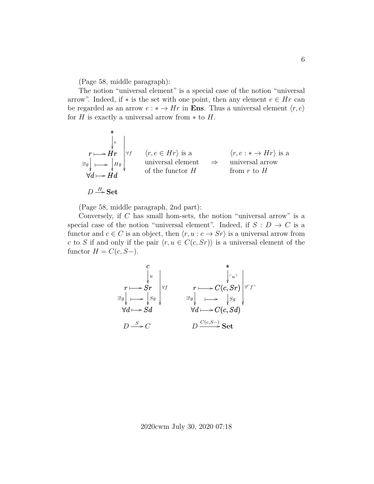(Page 58, middle paragraph):

The notion "universal element" is a special case of the notion "universal arrow". Indeed, if  $*$  is the set with one point, then any element  $e \in Hr$  can be regarded as an arrow  $e : * \to Hr$  in **Ens**. Thus a universal element  $\langle r, e \rangle$ for H is exactly a universal arrow from  $*$  to H.

\*  
\n
$$
r \longmapsto Hr
$$
  
\n $\exists g \rightarrow Hd$   
\n $\forall d \rightarrow Hd$   
\n\*  
\n $\langle r, e \in Hr \rangle$  is a  
\nuniversal element  
\nof the functor  $H$   
\n $\Rightarrow$   
\nfrom  $r$  to  $H$   
\n $\forall d \rightarrow Hd$ 

 $D \stackrel{H}{\longrightarrow} \mathbf{Set}$ 

(Page 58, middle paragraph, 2nd part):

Conversely, if C has small hom-sets, the notion "universal arrow" is a special case of the notion "universal element". Indeed, if  $S: D \to C$  is a functor and  $c \in C$  is an object, then  $\langle r, u : c \to Sr \rangle$  is a universal arrow from c to S if and only if the pair  $\langle r, u \in C(c, Sr) \rangle$  is a universal element of the functor  $H = C(c, S-).$ 

$$
\begin{array}{ccc}\n & c & * & * \\
 & \downarrow u & \downarrow \vdots \\
\text{and} & \text{and} & \text{and} & \text{and} & \text{and} \\
\exists! g \downarrow & \longmapsto \downarrow s g & & \text{and} & \text{and} & \text{and} & \text{and} \\
\forall d \longmapsto \text{S}d & & \forall d \longmapsto \text{and} & \text{and} & \text{and} & \text{and} & \text{and} & \text{and} & \text{and} & \text{and} & \text{and} & \text{and} & \text{and} & \text{and} & \text{and} & \text{and} & \text{and} & \text{and} & \text{and} & \text{and} & \text{and} & \text{and} & \text{and} & \text{and} & \text{and} & \text{and} & \text{and} & \text{and} & \text{and} & \text{and} & \text{and} & \text{and} & \text{and} & \text{and} & \text{and} & \text{and} & \text{and} & \text{and} & \text{and} & \text{and} & \text{and} & \text{and} & \text{and} & \text{and} & \text{and} & \text{and} & \text{and} & \text{and} & \text{and} & \text{and} & \text{and} & \text{and} & \text{and} & \text{and} & \text{and} & \text{and} & \text{and} & \text{and} & \text{and} & \text{and} & \text{and} & \text{and} & \text{and} & \text{and} & \text{and} & \text{and} & \text{and} & \text{and} & \text{and} & \text{and} & \text{and} & \text{and} & \text{and} & \text{and} & \text{and} & \text{and} & \text{and} & \text{and} & \text{and} & \text{and} & \text{and} & \text{and} & \text{and} & \text{and} & \text{and} & \text{and} & \text{and} & \text{and} & \text{and} & \text{and} & \text{and} & \text{and} & \text{and} & \text{and} & \text{and} & \text{and} & \text{and} & \text{and} & \text{and} & \text{and} & \text{and} & \text{and} & \text{and} & \text{and} & \text{and} & \text{and} & \text{and} & \text{and} & \
$$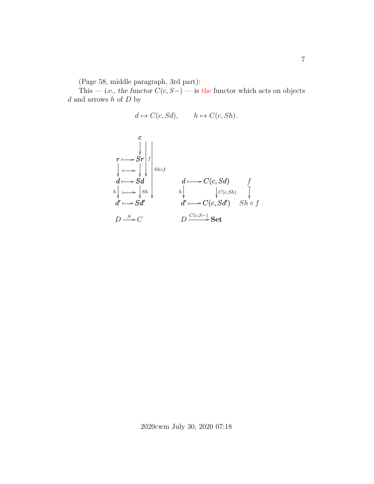(Page 58, middle paragraph, 3rd part):

This — i.e., the functor  $C(c, S-)$  — is the functor which acts on objects  $d$  and arrows  $h$  of  $D$  by

$$
d \mapsto C(c, Sd), \qquad h \mapsto C(c, Sh).
$$

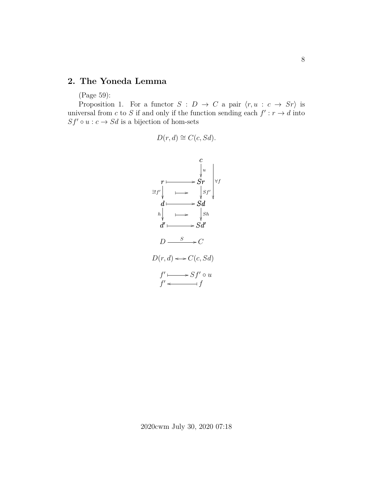#### **2. The Yoneda Lemma**

(Page 59):

Proposition 1. For a functor  $S : D \to C$  a pair  $\langle r, u : c \to Sr \rangle$  is universal from c to S if and only if the function sending each  $f': r \to d$  into  $Sf' \circ u : c \to Sd$  is a bijection of hom-sets

$$
D(r,d) \cong C(c, Sd).
$$

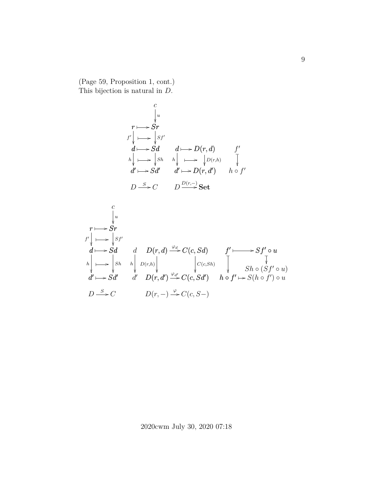(Page 59, Proposition 1, cont.) This bijection is natural in D.

$$
\begin{array}{ccc}\n & c & \\
 & \downarrow u & \\
f' & \downarrow \longrightarrow & Sr \\
d \longmapsto Sd & d \longmapsto D(r, d) & f' \\
h & \downarrow \longrightarrow & Sh & h \downarrow \longrightarrow & D(r, h) \\
d' \longmapsto Sd' & d' \longmapsto D(r, d') & h \circ f' \\
D \stackrel{S}{\longrightarrow} C & D \stackrel{D(r, -)}{\longrightarrow} Set\n\end{array}
$$

$$
\begin{array}{ccc}\n & c & & & \\
 & & & & \\
 f' & & & & \\
 d \longmapsto Sd & d & D(r, d) \xrightarrow{\varphi_d} C(c, Sd) & f' \longmapsto Sf' \circ u \\
 & h & & & \\
 d' \longmapsto \int_{S^h} h & h \bigg|_{D(r, h)} \bigg|_{V(r, h)} \bigg|_{V(c, Sh)} & \bigg|_{C(c, Sh)} \bigg|_{S^h \circ (Sf' \circ u)} & \\
 d' \longmapsto Sd' & d' & D(r, d') \xrightarrow{\varphi_{d'}} C(c, Sd') & h \circ f' \longmapsto S(h \circ f') \circ u \\
 & & & & \\
 D \xrightarrow{S} C & D(r, -) \xrightarrow{\varphi} C(c, S-)\n\end{array}
$$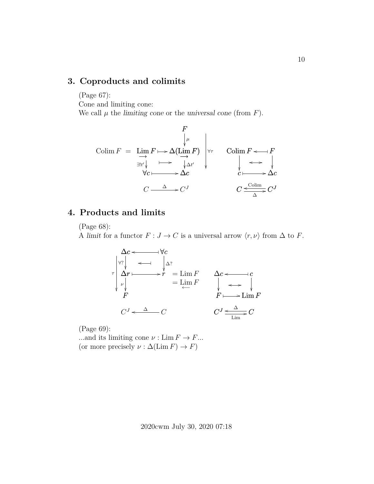## **3. Coproducts and colimits**

(Page 67): Cone and limiting cone: We call  $\mu$  the limiting cone or the universal cone (from  $F$ ).

F ∆(Lim−→ F) µ Lim−→ F ✤ / ∀c ∃!t 0 ∆c ∆t 0 ✤ / ∀τ ✤ / Colim F = C C <sup>∆</sup> / <sup>J</sup> Colim F F o ✤ F c ∆c o / ✤ / C C o <sup>J</sup> Colim ∆ /

### **4. Products and limits**

(Page 68):

A limit for a functor  $F : J \to C$  is a universal arrow  $\langle r, \nu \rangle$  from  $\Delta$  to F.

∆c ∀c o ✤ ∆r ∀? r ∆? o ✤ r ✤ / F ν τ = Lim F = Lim←− F C <sup>J</sup> o C ∆ ∆c c o ✤ c F Lim F o / ✤ / C <sup>J</sup> C o <sup>∆</sup> Lim /

(Page 69):

...and its limiting cone  $\nu : \text{Lim } F \to F...$ (or more precisely  $\nu : \Delta(\text{Lim } F) \to F$ )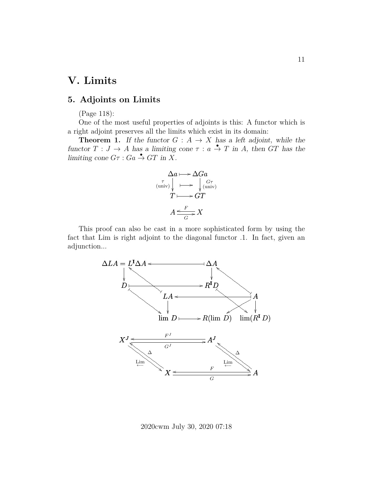# **V. Limits**

## **5. Adjoints on Limits**

(Page 118):

One of the most useful properties of adjoints is this: A functor which is a right adjoint preserves all the limits which exist in its domain:

**Theorem 1.** If the functor  $G : A \rightarrow X$  has a left adjoint, while the functor  $T : J \to A$  has a limiting cone  $\tau : a \stackrel{\bullet}{\to} T$  in A, then GT has the limiting cone  $G\tau$  :  $Ga \overset{\bullet}{\rightarrow} GT$  in X.

$$
\Delta a \longmapsto \Delta Ga
$$
  
\n
$$
\begin{array}{c}\n\tau \\
(\text{univ}) \downarrow \longmapsto \downarrow \text{(univ)} \\
T \longmapsto GT\n\end{array}
$$
  
\n
$$
A \leq \frac{F}{G} X
$$

This proof can also be cast in a more sophisticated form by using the fact that Lim is right adjoint to the diagonal functor .1. In fact, given an adjunction...